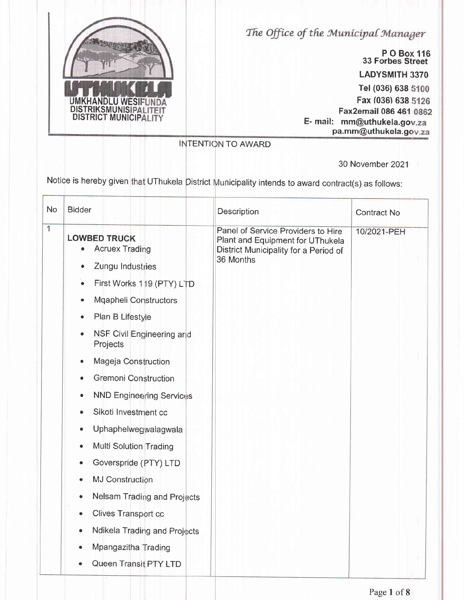

The Office of the Municipal Manager

P O Box 116<br>33 Forbes Street

**LADYSMITH 3370** 

Tel (036) 638 5100

Fax (036) 638 5126

Fax2email 086 461 0862

E- mail: mm@uthukela.gov.za pa.mm@uthukela.gov.za

**INTENTION TO AWARD** 

30 November 2021

Notice is hereby given that UThukela District Municipality intends to award contract(s) as follows:

| <b>No</b>      | <b>Bidder</b>                                                                                                                                                                                                                                                                                                                                                                                                                                                                                                                                                                                                                                                           | Description                                                                                                                  | <b>Contract No</b> |
|----------------|-------------------------------------------------------------------------------------------------------------------------------------------------------------------------------------------------------------------------------------------------------------------------------------------------------------------------------------------------------------------------------------------------------------------------------------------------------------------------------------------------------------------------------------------------------------------------------------------------------------------------------------------------------------------------|------------------------------------------------------------------------------------------------------------------------------|--------------------|
| $\overline{1}$ | <b>LOWBED TRUCK</b><br><b>Acruex Trading</b><br>Zungu Industries<br>۰<br>First Works 119 (PTY) LTD<br>$\bullet$<br>Mqapheli Constructors<br>٠<br>Plan B Lifestyle<br>$\bullet$<br>NSF Civil Engineering and<br>۰<br>Projects<br>Mageja Construction<br>٠<br><b>Gremoni Construction</b><br><b>NND Engineering Services</b><br>۰<br>Sikoti Investment cc<br>Uphaphelwegwalagwala<br>$\bullet$<br><b>Multi Solution Trading</b><br>$\bullet$<br>Goverspride (PTY) LTD<br>٠<br><b>MJ Construction</b><br>Nelsam Trading and Projects<br>$\bullet$<br>Clives Transport cc<br>$\bullet$<br>Ndikela Trading and Projects<br>٠<br>Mpangazitha Trading<br>Queen Transit PTY LTD | Panel of Service Providers to Hire<br>Plant and Equipment for UThukela<br>District Municipality for a Period of<br>36 Months | 10/2021-PEH        |
|                |                                                                                                                                                                                                                                                                                                                                                                                                                                                                                                                                                                                                                                                                         |                                                                                                                              |                    |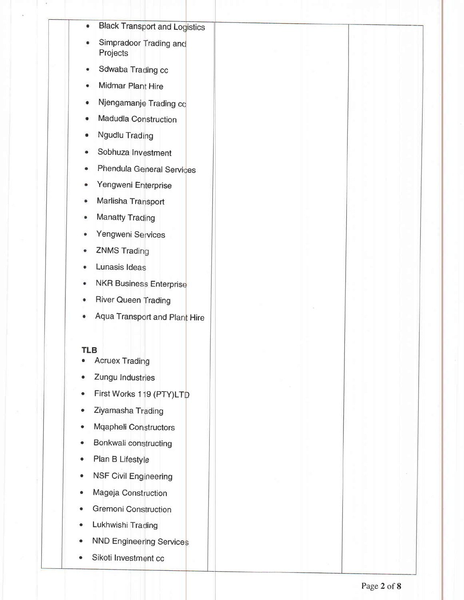- **Black Transport and Logistics**  $\bullet$
- Simpradoor Trading and Projects
- Sdwaba Trading cc  $\bullet$
- Midmar Plant Hire  $\bullet$
- Njengamanje Trading co  $\bullet$
- **Madudla Construction**  $\bullet$
- Ngudlu Trading  $\bullet$
- Sobhuza Investment  $\bullet$
- Phendula General Services
- Yengweni Enterprise  $\bullet$
- Marlisha Transport  $\ddot{\bullet}$
- **Manatty Trading**  $\bullet$
- Yengweni Services
- **ZNMS Trading**
- Lunasis Ideas  $\bullet$
- **NKR Business Enterprise**  $\bullet$
- **River Queen Trading**
- Aqua Transport and Plant Hire  $\bullet$

#### **TLB**

- **Acruex Trading**  $\bullet$
- Zungu Industries
- First Works 119 (PTY)LTD
- Ziyamasha Trading
- Mqapheli Constructors
- Bonkwali constructing
- Plan B Lifestyle
- **NSF Civil Engineering**
- Mageja Construction  $\bullet$
- **Gremoni Construction**
- Lukhwishi Trading
- **NND Engineering Services**
- Sikoti Investment cc  $\bullet$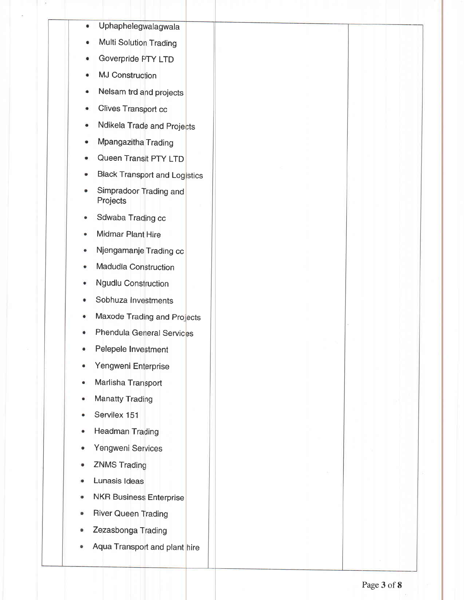- Uphaphelegwalagwala  $\bullet$
- Multi Solution Trading
- Goverpride PTY LTD
- **MJ Construction**
- Nelsam trd and projects
- **Clives Transport cc**
- Ndikela Trade and Projects  $\bullet$
- Mpangazitha Trading
- Queen Transit PTY LTD
- **Black Transport and Logistics**
- Simpradoor Trading and  $\bullet$ Projects
- Sdwaba Trading cc ۰
- Midmar Plant Hire
- Njengamanje Trading cc
- Madudla Construction
- **Ngudlu Construction**
- Sobhuza Investments
- Maxode Trading and Projects
- **Phendula General Services**
- Pelepele Investment
- Yengweni Enterprise
- Marlisha Transport
- **Manatty Trading**
- Servilex 151
- **Headman Trading**
- Yengweni Services
- **ZNMS Trading** ۰
- Lunasis Ideas
- **NKR Business Enterprise**  $\bullet$
- **River Queen Trading**  $\bullet$
- Zezasbonga Trading
- Aqua Transport and plant hire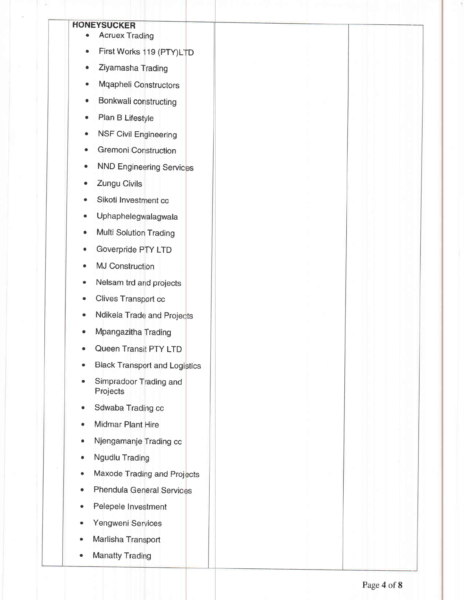### **HONEYSUCKER**

- **Acruex Trading**  $\bullet$
- First Works 119 (PTY)LTD
- Ziyamasha Trading  $\bullet$
- Mqapheli Constructors  $\bullet$
- Bonkwali constructing  $\bullet$
- Plan B Lifestyle  $\bullet$
- **NSF Civil Engineering**  $\bullet$
- **Gremoni Construction** Ă
- **NND Engineering Services**
- Zungu Civils  $\bullet$
- Sikoti Investment cc
- Uphaphelegwalagwala
- Multi Solution Trading  $\bullet$
- Goverpride PTY LTD ò
- **MJ Construction** ė
- Nelsam trd and projects
- Clives Transport cc
- Ndikela Trade and Projects  $\bullet$
- Mpangazitha Trading  $\bullet$
- Queen Transit PTY LTD
- **Black Transport and Logistics**
- Simpradoor Trading and  $\bullet$ Projects
- Sdwaba Trading cc
- Midmar Plant Hire
- Njengamanje Trading cc  $\blacksquare$
- **Ngudlu Trading**
- Maxode Trading and Projects
- **Phendula General Services**
- Pelepele Investment
- Yengweni Services
- Marlisha Transport
- **Manatty Trading**  $\bullet$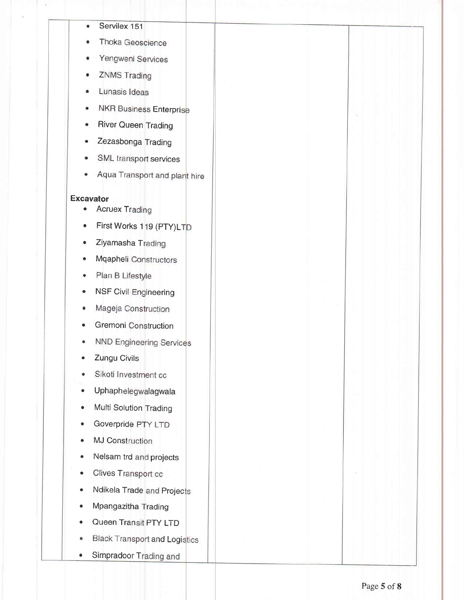- Servilex 151
- Thoka Geoscience
- Yengweni Services
- **ZNMS Trading**
- Lunasis Ideas
- **NKR Business Enterprise**
- **River Queen Trading**  $\bullet$
- Zezasbonga Trading
- SML transport services
- Aqua Transport and plant hire

### **Excavator**

- **Acruex Trading**  $\bullet$
- First Works 119 (PTY)LTD  $\blacksquare$
- Ziyamasha Trading
- Mqapheli Constructors  $\bullet$
- Plan B Lifestyle ۰
- **NSF Civil Engineering**  $\bullet$
- Mageja Construction ۰
- Gremoni Construction  $\bullet$
- **NND Engineering Services** ۰
- Zungu Civils
- Sikoti Investment cc
- Uphaphelegwalagwala  $\bullet$
- Multi Solution Trading  $\bullet$
- Goverpride PTY LTD
- **MJ Construction**
- Nelsam trd and projects  $\bullet$
- Clives Transport cc  $\bullet$
- Ndikela Trade and Projects
- Mpangazitha Trading
- Queen Transit PTY LTD
- **Black Transport and Logistics**
- Simpradoor Trading and  $\bullet$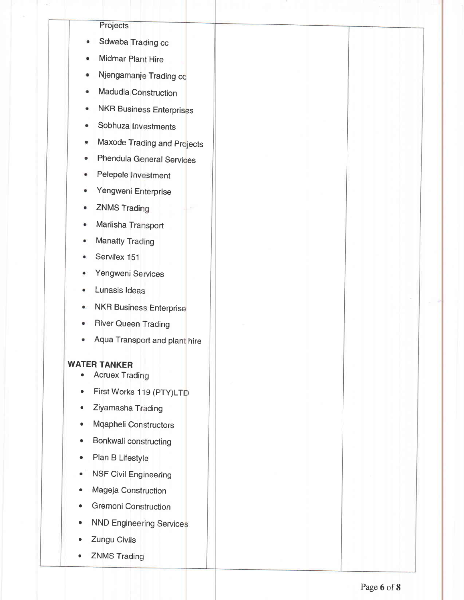# Projects

- Sdwaba Trading cc  $\bullet$
- Midmar Plant Hire
- Njengamanje Trading co
- Madudla Construction
- **NKR Business Enterprises**  $\bullet$
- Sobhuza Investments  $\bullet$
- Maxode Trading and Projects ö
- Phendula General Services
- Pelepele Investment
- Yengweni Enterprise  $\ddot{\bullet}$
- **ZNMS Trading**  $\bullet$
- Marlisha Transport  $\bullet$
- **Manatty Trading**  $\bullet$
- Servilex 151
- Yengweni Services
- Lunasis Ideas
- **NKR Business Enterprise** ۰
- **River Queen Trading**
- Aqua Transport and plant hire

## **WATER TANKER**

- **Acruex Trading**
- First Works 119 (PTY)LTD  $\bullet$
- Ziyamasha Trading  $\bullet$
- **Mqapheli Constructors**  $\bullet$
- Bonkwali constructing  $\bullet$
- Plan B Lifestyle  $\bullet$
- **NSF Civil Engineering**  $\bullet$
- Mageja Construction  $\bullet$
- **Gremoni Construction**
- **NND Engineering Services**
- Zungu Civils
- **ZNMS Trading**  $\bullet$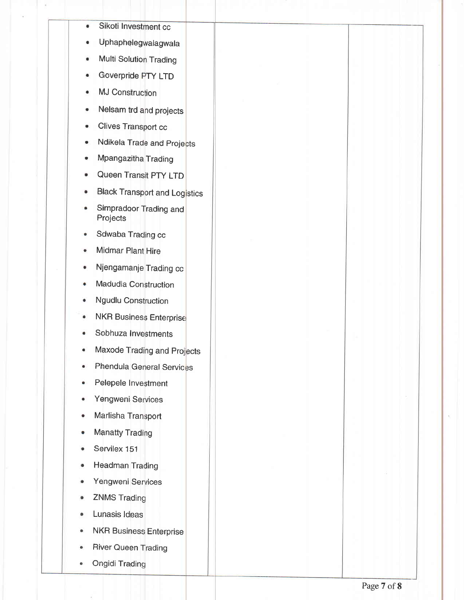- Sikoti Investment cc  $\bullet$
- Uphaphelegwalagwala
- **Multi Solution Trading**
- Goverpride PTY LTD
- **MJ Construction**
- Nelsam trd and projects  $\bullet$
- **Clives Transport cc** ۰
- Ndikela Trade and Projects
- Mpangazitha Trading
- Queen Transit PTY LTD  $\ddot{\phantom{a}}$
- **Black Transport and Logistics**  $\bullet$
- Simpradoor Trading and  $\bullet$ Projects
- Sdwaba Trading cc é
- **Midmar Plant Hire**
- Njengamanje Trading cc  $\bullet$
- Madudla Construction ۰
- **Ngudlu Construction**  $\bullet$
- **NKR Business Enterprise**  $\bullet$
- Sobhuza Investments  $\ddot{\phantom{a}}$
- Maxode Trading and Projects
- Phendula General Services
- Pelepele Investment ٠
- Yengweni Services ۰
- Marlisha Transport  $\Phi$
- **Manatty Trading**  $\bullet$
- Servilex 151
- **Headman Trading**
- Yengweni Services
- **ZNMS Trading**  $\bullet$
- Lunasis Ideas
- **NKR Business Enterprise**
- River Queen Trading
- **Ongidi Trading**